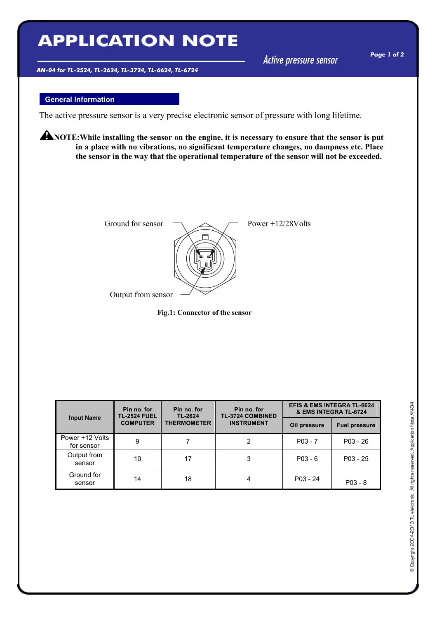## **APPLICATION NOTE**

*AN-04 for TL-2524, TL-2624, TL-3724, TL-6624, TL-6724*

*Active pressure sensor*

*Page 1 of 2*

## **General Information**

The active pressure sensor is a very precise electronic sensor of pressure with long lifetime.

**NOTE:While installing the sensor on the engine, it is necessary to ensure that the sensor is put in a place with no vibrations, no significant temperature changes, no dampness etc. Place the sensor in the way that the operational temperature of the sensor will not be exceeded.**





| <b>Input Name</b>             | Pin no. for<br><b>TL-2524 FUEL</b><br><b>COMPUTER</b> | Pin no. for<br>TL-2624<br><b>THERMOMETER</b> | Pin no. for<br><b>TL-3724 COMBINED</b><br><b>INSTRUMENT</b> | <b>EFIS &amp; EMS INTEGRA TL-6624</b><br>& EMS INTEGRA TL-6724 |                      |
|-------------------------------|-------------------------------------------------------|----------------------------------------------|-------------------------------------------------------------|----------------------------------------------------------------|----------------------|
|                               |                                                       |                                              |                                                             | Oil pressure                                                   | <b>Fuel pressure</b> |
| Power +12 Volts<br>for sensor | 9                                                     |                                              | 2                                                           | $P03 - 7$                                                      | $P03 - 26$           |
| Output from<br>sensor         | 10                                                    | 17                                           | 3                                                           | $P03 - 6$                                                      | $P03 - 25$           |
| Ground for<br>sensor          | 14                                                    | 18                                           | 4                                                           | $P03 - 24$                                                     | $P03 - 8$            |